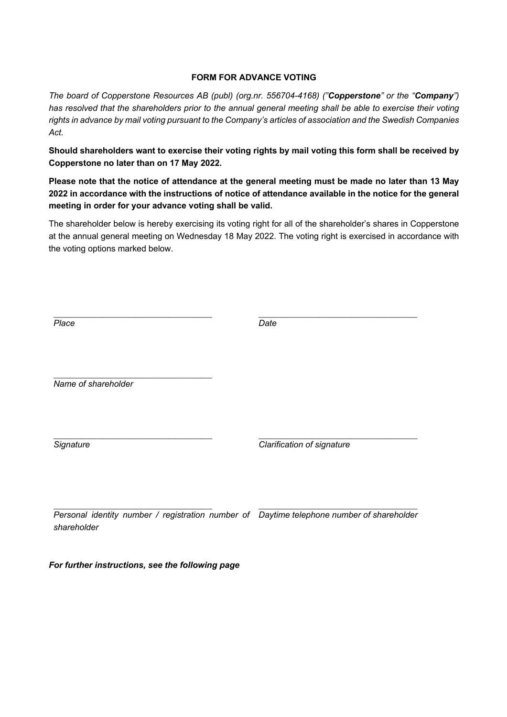## **FORM FOR ADVANCE VOTING**

*The board of Copperstone Resources AB (publ) (org.nr. 556704-4168) ("Copperstone" or the "Company") has resolved that the shareholders prior to the annual general meeting shall be able to exercise their voting rights in advance by mail voting pursuant to the Company's articles of association and the Swedish Companies Act.*

**Should shareholders want to exercise their voting rights by mail voting this form shall be received by Copperstone no later than on 17 May 2022.**

**Please note that the notice of attendance at the general meeting must be made no later than 13 May 2022 in accordance with the instructions of notice of attendance available in the notice for the general meeting in order for your advance voting shall be valid.**

The shareholder below is hereby exercising its voting right for all of the shareholder's shares in Copperstone at the annual general meeting on Wednesday 18 May 2022. The voting right is exercised in accordance with the voting options marked below.

| Place                                                                                                    | Date                       |
|----------------------------------------------------------------------------------------------------------|----------------------------|
| Name of shareholder                                                                                      |                            |
| Signature                                                                                                | Clarification of signature |
| Personal identity number / registration number of Daytime telephone number of shareholder<br>shareholder |                            |

*For further instructions, see the following page*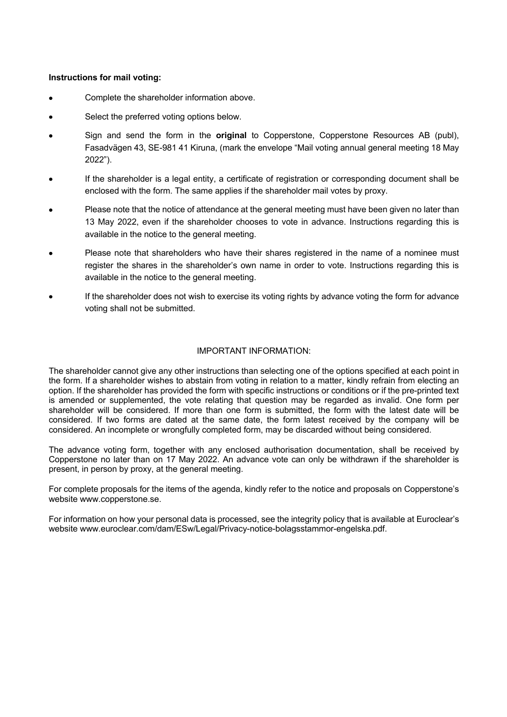## **Instructions for mail voting:**

- Complete the shareholder information above.
- Select the preferred voting options below.
- Sign and send the form in the **original** to Copperstone, Copperstone Resources AB (publ), Fasadvägen 43, SE-981 41 Kiruna, (mark the envelope "Mail voting annual general meeting 18 May 2022").
- If the shareholder is a legal entity, a certificate of registration or corresponding document shall be enclosed with the form. The same applies if the shareholder mail votes by proxy.
- Please note that the notice of attendance at the general meeting must have been given no later than 13 May 2022, even if the shareholder chooses to vote in advance. Instructions regarding this is available in the notice to the general meeting.
- Please note that shareholders who have their shares registered in the name of a nominee must register the shares in the shareholder's own name in order to vote. Instructions regarding this is available in the notice to the general meeting.
- If the shareholder does not wish to exercise its voting rights by advance voting the form for advance voting shall not be submitted.

## IMPORTANT INFORMATION:

The shareholder cannot give any other instructions than selecting one of the options specified at each point in the form. If a shareholder wishes to abstain from voting in relation to a matter, kindly refrain from electing an option. If the shareholder has provided the form with specific instructions or conditions or if the pre-printed text is amended or supplemented, the vote relating that question may be regarded as invalid. One form per shareholder will be considered. If more than one form is submitted, the form with the latest date will be considered. If two forms are dated at the same date, the form latest received by the company will be considered. An incomplete or wrongfully completed form, may be discarded without being considered.

The advance voting form, together with any enclosed authorisation documentation, shall be received by Copperstone no later than on 17 May 2022. An advance vote can only be withdrawn if the shareholder is present, in person by proxy, at the general meeting.

For complete proposals for the items of the agenda, kindly refer to the notice and proposals on Copperstone's website www.copperstone.se.

For information on how your personal data is processed, see the integrity policy that is available at Euroclear's website www.euroclear.com/dam/ESw/Legal/Privacy-notice-bolagsstammor-engelska.pdf.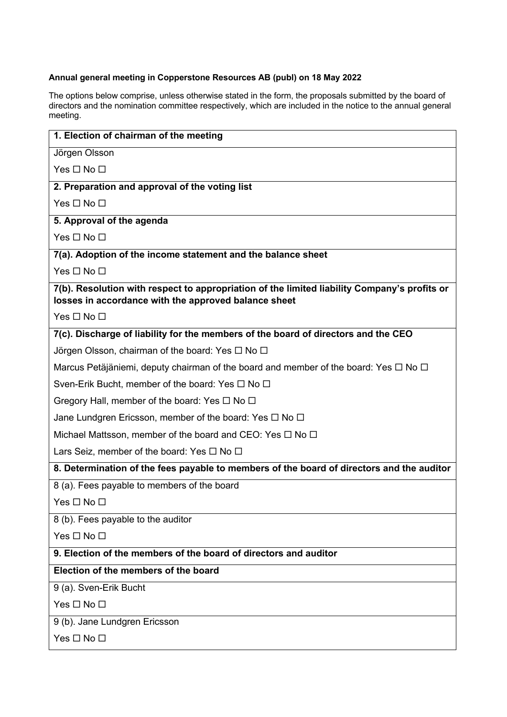## **Annual general meeting in Copperstone Resources AB (publ) on 18 May 2022**

The options below comprise, unless otherwise stated in the form, the proposals submitted by the board of directors and the nomination committee respectively, which are included in the notice to the annual general meeting.

| 1. Election of chairman of the meeting                                                                                                               |  |
|------------------------------------------------------------------------------------------------------------------------------------------------------|--|
| Jörgen Olsson                                                                                                                                        |  |
| Yes $\Box$ No $\Box$                                                                                                                                 |  |
| 2. Preparation and approval of the voting list                                                                                                       |  |
| $Yes \Box No \Box$                                                                                                                                   |  |
| 5. Approval of the agenda                                                                                                                            |  |
| Yes $\Box$ No $\Box$                                                                                                                                 |  |
| 7(a). Adoption of the income statement and the balance sheet                                                                                         |  |
| Yes $\square$ No $\square$                                                                                                                           |  |
| 7(b). Resolution with respect to appropriation of the limited liability Company's profits or<br>losses in accordance with the approved balance sheet |  |
| $Yes \Box No \Box$                                                                                                                                   |  |
| 7(c). Discharge of liability for the members of the board of directors and the CEO                                                                   |  |
| Jörgen Olsson, chairman of the board: Yes $\Box$ No $\Box$                                                                                           |  |
| Marcus Petäjäniemi, deputy chairman of the board and member of the board: Yes $\Box$ No $\Box$                                                       |  |
| Sven-Erik Bucht, member of the board: Yes $\Box$ No $\Box$                                                                                           |  |
| Gregory Hall, member of the board: Yes $\Box$ No $\Box$                                                                                              |  |
| Jane Lundgren Ericsson, member of the board: Yes $\Box$ No $\Box$                                                                                    |  |
| Michael Mattsson, member of the board and CEO: Yes $\Box$ No $\Box$                                                                                  |  |
| Lars Seiz, member of the board: Yes $\Box$ No $\Box$                                                                                                 |  |
| 8. Determination of the fees payable to members of the board of directors and the auditor                                                            |  |
| 8 (a). Fees payable to members of the board                                                                                                          |  |
| Yes $\Box$ No $\Box$                                                                                                                                 |  |
| 8 (b). Fees payable to the auditor                                                                                                                   |  |
| Yes $\Box$ No $\Box$                                                                                                                                 |  |
| 9. Election of the members of the board of directors and auditor                                                                                     |  |
| Election of the members of the board                                                                                                                 |  |
| 9 (a). Sven-Erik Bucht                                                                                                                               |  |
| Yes □ No □                                                                                                                                           |  |
| 9 (b). Jane Lundgren Ericsson                                                                                                                        |  |
| Yes □ No □                                                                                                                                           |  |